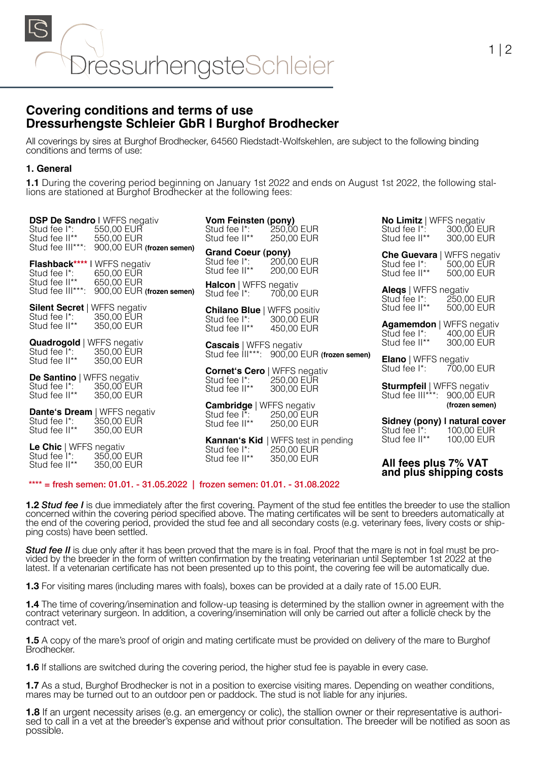

# **Covering conditions and terms of use Dressurhengste Schleier GbR | Burghof Brodhecker**

All coverings by sires at Burghof Brodhecker, 64560 Riedstadt-Wolfskehlen, are subject to the following binding conditions and terms of use:

### **1. General**

**1.1** During the covering period beginning on January 1st 2022 and ends on August 1st 2022, the following stal- lions are stationed at Burghof Brodhecker at the following fees:

| Stud fee I <sup>*</sup> :<br>Stud fee II**                                     | <b>DSP De Sandro I WFFS negativ</b><br>550,00 EUR<br>550,00 EUR                | <b>Vom Feinsten (pony)</b><br>Stud fee I <sup>*</sup> :<br>Stud fee II**         | 250,00 EUR<br>250,00 EUR                                        | <b>No Limitz</b>   WFFS negativ<br>Stud fee I*:<br>Stud fee II**                             | 300,00 EUR<br>300,00 EUR     |
|--------------------------------------------------------------------------------|--------------------------------------------------------------------------------|----------------------------------------------------------------------------------|-----------------------------------------------------------------|----------------------------------------------------------------------------------------------|------------------------------|
| Stud fee III***:<br>Stud fee I <sup>*</sup> :                                  | 900,00 EUR (frozen semen)<br><b>Flashback****</b> I WFFS negativ<br>650,00 EUR | <b>Grand Coeur (pony)</b><br>Stud fee I <sup>*</sup> :<br>Stud fee II**          | 200,00 EUR<br>200,00 EUR                                        | <b>Che Guevara   WFFS negativ</b><br>Stud fee I <sup>*</sup> :<br>Stud fee II**              | 500,00 EUR<br>500,00 EUR     |
| Stud fee II**                                                                  | 650,00 EUR<br>Stud fee III***: 900,00 EUR (frozen semen)                       | Halcon   WFFS negativ<br>Stud fee I <sup>*</sup> :                               | 700.00 EUR                                                      | <b>Alegs</b>   WFFS negativ<br>Stud fee I <sup>*</sup> :                                     | 250,00 EUR                   |
| Silent Secret   WFFS negativ<br>Stud fee I <sup>*</sup> :<br>Stud fee II**     | 350,00 EUR<br>350,00 EUR                                                       | <b>Chilano Blue   WFFS positiv</b><br>Stud fee I <sup>*</sup> :<br>Stud fee II** | 300,00 EUR<br>450,00 EUR                                        | Stud fee II**<br><b>Agamemdon</b>   WFFS negativ<br>Stud fee I <sup>*</sup> :                | 500,00 EUR<br>400,00 EUR     |
| <b>Quadrogold</b>   WFFS negativ<br>Stud fee I <sup>*</sup> :<br>Stud fee II** | 350,00 EUR<br>350,00 EUR                                                       | <b>Cascais</b>   WFFS negativ                                                    | Stud fee III***: 900,00 EUR (frozen semen)                      | Stud fee II**<br><b>Elano</b>   WFFS negativ                                                 | 300,00 EUR                   |
| <b>De Santino</b>   WFFS negativ<br>Stud fee I*:<br>Stud fee II**              | 350,00 EUR<br>350,00 EUR                                                       | Stud fee I <sup>*</sup> :<br>Stud fee II**                                       | <b>Cornet's Cero   WFFS negativ</b><br>250,00 EUR<br>300,00 EUR | Stud fee I <sup>*</sup> :<br><b>Sturmpfeil</b>   WFFS negativ<br>Stud fee III***: 900,00 EUR | 700,00 EUR                   |
| Stud fee I <sup>*</sup> :<br>Stud fee II**                                     | Dante's Dream   WFFS negativ<br>350,00 EUR<br>350,00 EUR                       | <b>Cambridge</b>   WFFS negativ<br>Stud fee I <sup>*</sup> :<br>Stud fee II**    | 250,00 EUR<br>250,00 EUR                                        | Sidney (pony) I natural cover<br>Stud fee I <sup>*</sup> :                                   | (frozen semen)<br>100.00 EUR |
| Le Chic   WFFS negativ<br>Stud fee I <sup>*</sup> :<br>Stud fee II**           | 350,00 EUR<br>350,00 EUR                                                       | Kannan's Kid<br>Stud fee I <sup>*</sup> :<br>Stud fee II**                       | WFFS test in pending<br>250,00 EUR<br>350,00 EUR                | Stud fee II**<br>All fees plus 7% VAT<br>and plus shipping costs                             | 100,00 EUR                   |

#### \*\*\*\* = fresh semen: 01.01. - 31.05.2022 | frozen semen: 01.01. - 31.08.2022

**1.2** *Stud fee I* is due immediately after the first covering. Payment of the stud fee entitles the breeder to use the stallion concerned within the covering period specified above. The mating certificates will be sent to breeders automatically at the end of the covering period, provided the stud fee and all secondary costs (e.g. veterinary fees, livery costs or ship- ping costs) have been settled.

**Stud fee II** is due only after it has been proved that the mare is in foal. Proof that the mare is not in foal must be provided by the breeder in the form of written confirmation by the treating veterinarian until Septemb latest. If a vetenarian certificate has not been presented up to this point, the covering fee will be automatically due.

**1.3** For visiting mares (including mares with foals), boxes can be provided at a daily rate of 15.00 EUR.

**1.4** The time of covering/insemination and follow-up teasing is determined by the stallion owner in agreement with the contract veterinary surgeon. In addition, a covering/insemination will only be carried out after a follicle check by the contract vet.

**1.5** A copy of the mare's proof of origin and mating certificate must be provided on delivery of the mare to Burghof **Brodhecker** 

**1.6** If stallions are switched during the covering period, the higher stud fee is payable in every case.

**1.7** As a stud, Burghof Brodhecker is not in a position to exercise visiting mares. Depending on weather conditions, mares may be turned out to an outdoor pen or paddock. The stud is not liable for any injuries.

**1.8** If an urgent necessity arises (e.g. an emergency or colic), the stallion owner or their representative is authorised to call in a vet at the breeder's expense and without prior consultation. The breeder will be notif possible.